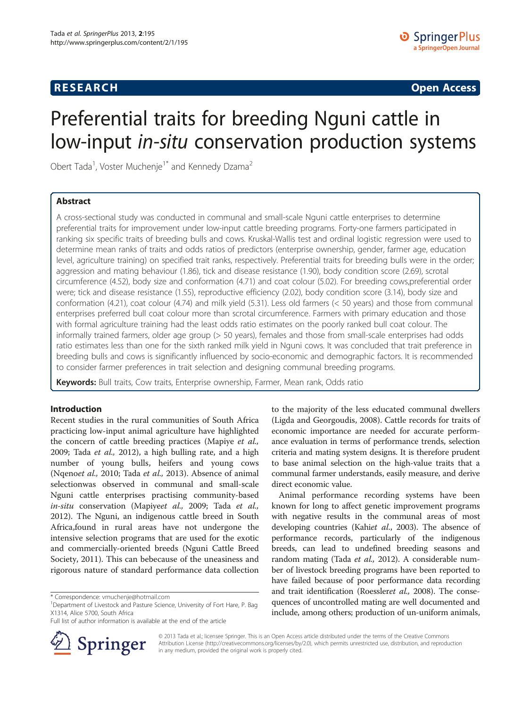# **RESEARCH CHINESE ARCH CHINESE ARCH CHINESE ARCH <b>CHINESE ARCH**

# Preferential traits for breeding Nguni cattle in low-input in-situ conservation production systems

Obert Tada<sup>1</sup>, Voster Muchenje<sup>1\*</sup> and Kennedy Dzama<sup>2</sup>

# Abstract

A cross-sectional study was conducted in communal and small-scale Nguni cattle enterprises to determine preferential traits for improvement under low-input cattle breeding programs. Forty-one farmers participated in ranking six specific traits of breeding bulls and cows. Kruskal-Wallis test and ordinal logistic regression were used to determine mean ranks of traits and odds ratios of predictors (enterprise ownership, gender, farmer age, education level, agriculture training) on specified trait ranks, respectively. Preferential traits for breeding bulls were in the order; aggression and mating behaviour (1.86), tick and disease resistance (1.90), body condition score (2.69), scrotal circumference (4.52), body size and conformation (4.71) and coat colour (5.02). For breeding cows,preferential order were; tick and disease resistance (1.55), reproductive efficiency (2.02), body condition score (3.14), body size and conformation (4.21), coat colour (4.74) and milk yield (5.31). Less old farmers (< 50 years) and those from communal enterprises preferred bull coat colour more than scrotal circumference. Farmers with primary education and those with formal agriculture training had the least odds ratio estimates on the poorly ranked bull coat colour. The informally trained farmers, older age group (> 50 years), females and those from small-scale enterprises had odds ratio estimates less than one for the sixth ranked milk yield in Nguni cows. It was concluded that trait preference in breeding bulls and cows is significantly influenced by socio-economic and demographic factors. It is recommended to consider farmer preferences in trait selection and designing communal breeding programs.

Keywords: Bull traits, Cow traits, Enterprise ownership, Farmer, Mean rank, Odds ratio

# Introduction

Recent studies in the rural communities of South Africa practicing low-input animal agriculture have highlighted the concern of cattle breeding practices (Mapiye et al., [2009](#page-6-0); Tada et al., [2012\)](#page-6-0), a high bulling rate, and a high number of young bulls, heifers and young cows (Nqenoet al., [2010;](#page-6-0) Tada et al., [2013](#page-6-0)). Absence of animal selectionwas observed in communal and small-scale Nguni cattle enterprises practising community-based in-situ conservation (Mapiyeet al., [2009](#page-6-0); Tada et al., [2012](#page-6-0)). The Nguni, an indigenous cattle breed in South Africa,found in rural areas have not undergone the intensive selection programs that are used for the exotic and commercially-oriented breeds (Nguni Cattle Breed Society, [2011\)](#page-6-0). This can bebecause of the uneasiness and rigorous nature of standard performance data collection

Full list of author information is available at the end of the article



to the majority of the less educated communal dwellers (Ligda and Georgoudis, [2008](#page-6-0)). Cattle records for traits of economic importance are needed for accurate performance evaluation in terms of performance trends, selection criteria and mating system designs. It is therefore prudent to base animal selection on the high-value traits that a communal farmer understands, easily measure, and derive direct economic value.

Animal performance recording systems have been known for long to affect genetic improvement programs with negative results in the communal areas of most developing countries (Kahiet al., [2003](#page-6-0)). The absence of performance records, particularly of the indigenous breeds, can lead to undefined breeding seasons and random mating (Tada et al., [2012](#page-6-0)). A considerable number of livestock breeding programs have been reported to have failed because of poor performance data recording and trait identification (Roessleret al., [2008](#page-6-0)). The consequences of uncontrolled mating are well documented and include, among others; production of un-uniform animals,

© 2013 Tada et al.; licensee Springer. This is an Open Access article distributed under the terms of the Creative Commons Attribution License [\(http://creativecommons.org/licenses/by/2.0\)](http://creativecommons.org/licenses/by/2.0), which permits unrestricted use, distribution, and reproduction in any medium, provided the original work is properly cited.

<sup>\*</sup> Correspondence: [vmuchenje@hotmail.com](mailto:vmuchenje@hotmail.com) <sup>1</sup>

<sup>&</sup>lt;sup>1</sup>Department of Livestock and Pasture Science, University of Fort Hare, P. Bag X1314, Alice 5700, South Africa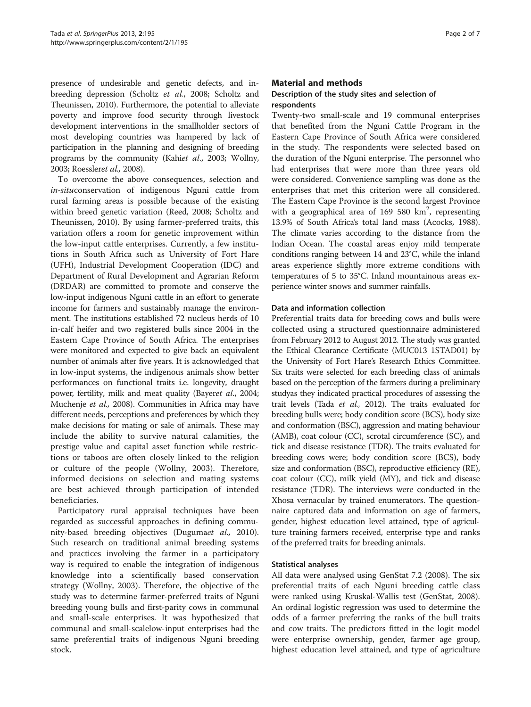presence of undesirable and genetic defects, and inbreeding depression (Scholtz et al., [2008;](#page-6-0) Scholtz and Theunissen, [2010](#page-6-0)). Furthermore, the potential to alleviate poverty and improve food security through livestock development interventions in the smallholder sectors of most developing countries was hampered by lack of participation in the planning and designing of breeding programs by the community (Kahiet al., [2003](#page-6-0); Wollny, [2003;](#page-6-0) Roessleret al., [2008](#page-6-0)).

To overcome the above consequences, selection and in-situconservation of indigenous Nguni cattle from rural farming areas is possible because of the existing within breed genetic variation (Reed, [2008](#page-6-0); Scholtz and Theunissen, [2010\)](#page-6-0). By using farmer-preferred traits, this variation offers a room for genetic improvement within the low-input cattle enterprises. Currently, a few institutions in South Africa such as University of Fort Hare (UFH), Industrial Development Cooperation (IDC) and Department of Rural Development and Agrarian Reform (DRDAR) are committed to promote and conserve the low-input indigenous Nguni cattle in an effort to generate income for farmers and sustainably manage the environment. The institutions established 72 nucleus herds of 10 in-calf heifer and two registered bulls since 2004 in the Eastern Cape Province of South Africa. The enterprises were monitored and expected to give back an equivalent number of animals after five years. It is acknowledged that in low-input systems, the indigenous animals show better performances on functional traits i.e. longevity, draught power, fertility, milk and meat quality (Bayeret al., [2004](#page-6-0); Muchenje et al., [2008\)](#page-6-0). Communities in Africa may have different needs, perceptions and preferences by which they make decisions for mating or sale of animals. These may include the ability to survive natural calamities, the prestige value and capital asset function while restrictions or taboos are often closely linked to the religion or culture of the people (Wollny, [2003\)](#page-6-0). Therefore, informed decisions on selection and mating systems are best achieved through participation of intended beneficiaries.

Participatory rural appraisal techniques have been regarded as successful approaches in defining commu-nity-based breeding objectives (Dugumaet al., [2010](#page-6-0)). Such research on traditional animal breeding systems and practices involving the farmer in a participatory way is required to enable the integration of indigenous knowledge into a scientifically based conservation strategy (Wollny, [2003\)](#page-6-0). Therefore, the objective of the study was to determine farmer-preferred traits of Nguni breeding young bulls and first-parity cows in communal and small-scale enterprises. It was hypothesized that communal and small-scalelow-input enterprises had the same preferential traits of indigenous Nguni breeding stock.

# Material and methods

# Description of the study sites and selection of respondents

Twenty-two small-scale and 19 communal enterprises that benefited from the Nguni Cattle Program in the Eastern Cape Province of South Africa were considered in the study. The respondents were selected based on the duration of the Nguni enterprise. The personnel who had enterprises that were more than three years old were considered. Convenience sampling was done as the enterprises that met this criterion were all considered. The Eastern Cape Province is the second largest Province with a geographical area of  $169, 580$  km<sup>2</sup>, representing 13.9% of South Africa's total land mass (Acocks, [1988](#page-6-0)). The climate varies according to the distance from the Indian Ocean. The coastal areas enjoy mild temperate conditions ranging between 14 and 23°C, while the inland areas experience slightly more extreme conditions with temperatures of 5 to 35°C. Inland mountainous areas experience winter snows and summer rainfalls.

## Data and information collection

Preferential traits data for breeding cows and bulls were collected using a structured questionnaire administered from February 2012 to August 2012. The study was granted the Ethical Clearance Certificate (MUC013 1STAD01) by the University of Fort Hare's Research Ethics Committee. Six traits were selected for each breeding class of animals based on the perception of the farmers during a preliminary studyas they indicated practical procedures of assessing the trait levels (Tada et al., [2012](#page-6-0)). The traits evaluated for breeding bulls were; body condition score (BCS), body size and conformation (BSC), aggression and mating behaviour (AMB), coat colour (CC), scrotal circumference (SC), and tick and disease resistance (TDR). The traits evaluated for breeding cows were; body condition score (BCS), body size and conformation (BSC), reproductive efficiency (RE), coat colour (CC), milk yield (MY), and tick and disease resistance (TDR). The interviews were conducted in the Xhosa vernacular by trained enumerators. The questionnaire captured data and information on age of farmers, gender, highest education level attained, type of agriculture training farmers received, enterprise type and ranks of the preferred traits for breeding animals.

## Statistical analyses

All data were analysed using GenStat 7.2 ([2008\)](#page-6-0). The six preferential traits of each Nguni breeding cattle class were ranked using Kruskal-Wallis test (GenStat, [2008](#page-6-0)). An ordinal logistic regression was used to determine the odds of a farmer preferring the ranks of the bull traits and cow traits. The predictors fitted in the logit model were enterprise ownership, gender, farmer age group, highest education level attained, and type of agriculture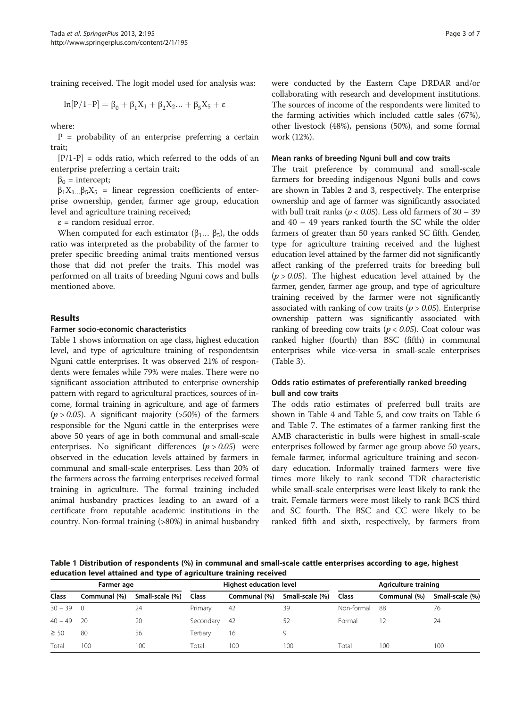training received. The logit model used for analysis was:

$$
ln[P/1-P] = \beta_0 + \beta_1 X_1 + \beta_2 X_2 ... + \beta_5 X_5 + \epsilon
$$

where:

 $P =$  probability of an enterprise preferring a certain trait;

 $[P/1-P] = odds ratio, which referred to the odds of an$ enterprise preferring a certain trait;

 $β<sub>0</sub> = intercept;$ 

 $\beta_1 X_1 \beta_5 X_5$  = linear regression coefficients of enterprise ownership, gender, farmer age group, education level and agriculture training received;

 $\epsilon$  = random residual error.

When computed for each estimator ( $\beta_1$ ...  $\beta_5$ ), the odds ratio was interpreted as the probability of the farmer to prefer specific breeding animal traits mentioned versus those that did not prefer the traits. This model was performed on all traits of breeding Nguni cows and bulls mentioned above.

# Results

#### Farmer socio-economic characteristics

Table 1 shows information on age class, highest education level, and type of agriculture training of respondentsin Nguni cattle enterprises. It was observed 21% of respondents were females while 79% were males. There were no significant association attributed to enterprise ownership pattern with regard to agricultural practices, sources of income, formal training in agriculture, and age of farmers  $(p > 0.05)$ . A significant majority (>50%) of the farmers responsible for the Nguni cattle in the enterprises were above 50 years of age in both communal and small-scale enterprises. No significant differences  $(p > 0.05)$  were observed in the education levels attained by farmers in communal and small-scale enterprises. Less than 20% of the farmers across the farming enterprises received formal training in agriculture. The formal training included animal husbandry practices leading to an award of a certificate from reputable academic institutions in the country. Non-formal training (>80%) in animal husbandry were conducted by the Eastern Cape DRDAR and/or collaborating with research and development institutions. The sources of income of the respondents were limited to the farming activities which included cattle sales (67%), other livestock (48%), pensions (50%), and some formal work (12%).

#### Mean ranks of breeding Nguni bull and cow traits

The trait preference by communal and small-scale farmers for breeding indigenous Nguni bulls and cows are shown in Tables [2](#page-3-0) and [3,](#page-3-0) respectively. The enterprise ownership and age of farmer was significantly associated with bull trait ranks ( $p < 0.05$ ). Less old farmers of 30 – 39 and 40 – 49 years ranked fourth the SC while the older farmers of greater than 50 years ranked SC fifth. Gender, type for agriculture training received and the highest education level attained by the farmer did not significantly affect ranking of the preferred traits for breeding bull  $(p > 0.05)$ . The highest education level attained by the farmer, gender, farmer age group, and type of agriculture training received by the farmer were not significantly associated with ranking of cow traits ( $p > 0.05$ ). Enterprise ownership pattern was significantly associated with ranking of breeding cow traits ( $p < 0.05$ ). Coat colour was ranked higher (fourth) than BSC (fifth) in communal enterprises while vice-versa in small-scale enterprises (Table [3](#page-3-0)).

# Odds ratio estimates of preferentially ranked breeding bull and cow traits

The odds ratio estimates of preferred bull traits are shown in Table [4](#page-4-0) and Table [5](#page-4-0), and cow traits on Table [6](#page-5-0) and Table [7.](#page-5-0) The estimates of a farmer ranking first the AMB characteristic in bulls were highest in small-scale enterprises followed by farmer age group above 50 years, female farmer, informal agriculture training and secondary education. Informally trained farmers were five times more likely to rank second TDR characteristic while small-scale enterprises were least likely to rank the trait. Female farmers were most likely to rank BCS third and SC fourth. The BSC and CC were likely to be ranked fifth and sixth, respectively, by farmers from

Table 1 Distribution of respondents (%) in communal and small-scale cattle enterprises according to age, highest education level attained and type of agriculture training received

|               | Farmer age   |                 |              | Highest education level |                 | Agriculture training |              |                 |  |
|---------------|--------------|-----------------|--------------|-------------------------|-----------------|----------------------|--------------|-----------------|--|
| <b>Class</b>  | Communal (%) | Small-scale (%) | <b>Class</b> | Communal (%)            | Small-scale (%) | <b>Class</b>         | Communal (%) | Small-scale (%) |  |
| $30 - 39 = 0$ |              | 24              | Primary      | -42                     | 39              | Non-formal           | 88           | 76              |  |
| $40 - 49$     | - 20         | 20              | Secondary    | - 42                    | 52              | Formal               |              | 24              |  |
| $\geq 50$     | 80           | 56              | Tertiary     | 16                      | Q               |                      |              |                 |  |
| Total         | 100          | 100             | Total        | 100                     | 100             | Total                | 100          | 100             |  |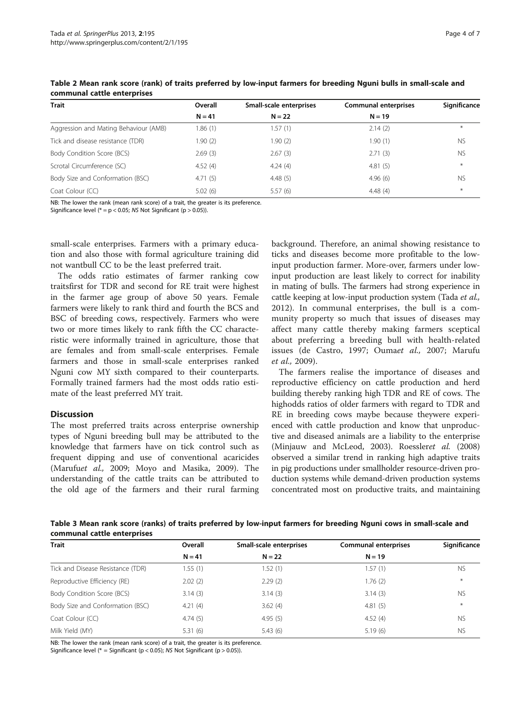| <b>Trait</b>                          | Overall  | Small-scale enterprises | <b>Communal enterprises</b> | Significance |
|---------------------------------------|----------|-------------------------|-----------------------------|--------------|
|                                       | $N = 41$ | $N = 22$                | $N = 19$                    |              |
| Aggression and Mating Behaviour (AMB) | 1.86 (1) | .57(1)                  | 2.14(2)                     | $*$          |
| Tick and disease resistance (TDR)     | 1.90 (2) | 1.90 (2)                | 1.90(1)                     | <b>NS</b>    |
| Body Condition Score (BCS)            | 2.69(3)  | 2.67(3)                 | 2.71(3)                     | <b>NS</b>    |
| Scrotal Circumference (SC)            | 4.52(4)  | 4.24(4)                 | 4.81(5)                     | $*$          |
| Body Size and Conformation (BSC)      | 4.71(5)  | 4.48(5)                 | 4.96(6)                     | <b>NS</b>    |
| Coat Colour (CC)                      | 5.02(6)  | 5.57(6)                 | 4.48(4)                     | $*$          |

<span id="page-3-0"></span>Table 2 Mean rank score (rank) of traits preferred by low-input farmers for breeding Nguni bulls in small-scale and communal cattle enterprises

NB: The lower the rank (mean rank score) of a trait, the greater is its preference.

Significance level ( $* = p < 0.05$ ; NS Not Significant ( $p > 0.05$ )).

small-scale enterprises. Farmers with a primary education and also those with formal agriculture training did not wantbull CC to be the least preferred trait.

The odds ratio estimates of farmer ranking cow traitsfirst for TDR and second for RE trait were highest in the farmer age group of above 50 years. Female farmers were likely to rank third and fourth the BCS and BSC of breeding cows, respectively. Farmers who were two or more times likely to rank fifth the CC characteristic were informally trained in agriculture, those that are females and from small-scale enterprises. Female farmers and those in small-scale enterprises ranked Nguni cow MY sixth compared to their counterparts. Formally trained farmers had the most odds ratio estimate of the least preferred MY trait.

## **Discussion**

The most preferred traits across enterprise ownership types of Nguni breeding bull may be attributed to the knowledge that farmers have on tick control such as frequent dipping and use of conventional acaricides (Marufuet al., [2009](#page-6-0); Moyo and Masika, [2009](#page-6-0)). The understanding of the cattle traits can be attributed to the old age of the farmers and their rural farming

background. Therefore, an animal showing resistance to ticks and diseases become more profitable to the lowinput production farmer. More-over, farmers under lowinput production are least likely to correct for inability in mating of bulls. The farmers had strong experience in cattle keeping at low-input production system (Tada et al., [2012\)](#page-6-0). In communal enterprises, the bull is a community property so much that issues of diseases may affect many cattle thereby making farmers sceptical about preferring a breeding bull with health-related issues (de Castro, [1997](#page-6-0); Oumaet al., [2007;](#page-6-0) Marufu et al., [2009\)](#page-6-0).

The farmers realise the importance of diseases and reproductive efficiency on cattle production and herd building thereby ranking high TDR and RE of cows. The highodds ratios of older farmers with regard to TDR and RE in breeding cows maybe because theywere experienced with cattle production and know that unproductive and diseased animals are a liability to the enterprise (Minjauw and McLeod, [2003](#page-6-0)). Roessleret al. ([2008](#page-6-0)) observed a similar trend in ranking high adaptive traits in pig productions under smallholder resource-driven production systems while demand-driven production systems concentrated most on productive traits, and maintaining

Table 3 Mean rank score (ranks) of traits preferred by low-input farmers for breeding Nguni cows in small-scale and communal cattle enterprises

| <b>Trait</b>                      | Overall  | Small-scale enterprises | <b>Communal enterprises</b> | Significance |
|-----------------------------------|----------|-------------------------|-----------------------------|--------------|
|                                   | $N = 41$ | $N = 22$                | $N = 19$                    |              |
| Tick and Disease Resistance (TDR) | 1.55(1)  | 1.52 (1)                | 1.57 (1)                    | <b>NS</b>    |
| Reproductive Efficiency (RE)      | 2.02(2)  | 2.29(2)                 | 1.76(2)                     | $\ast$       |
| Body Condition Score (BCS)        | 3.14(3)  | 3.14(3)                 | 3.14(3)                     | <b>NS</b>    |
| Body Size and Conformation (BSC)  | 4.21(4)  | 3.62(4)                 | 4.81(5)                     | $*$          |
| Coat Colour (CC)                  | 4.74(5)  | 4.95(5)                 | 4.52(4)                     | <b>NS</b>    |
| Milk Yield (MY)                   | 5.31(6)  | 5.43(6)                 | 5.19(6)                     | <b>NS</b>    |

NB: The lower the rank (mean rank score) of a trait, the greater is its preference.

Significance level ( $* =$  Significant (p < 0.05); NS Not Significant (p > 0.05)).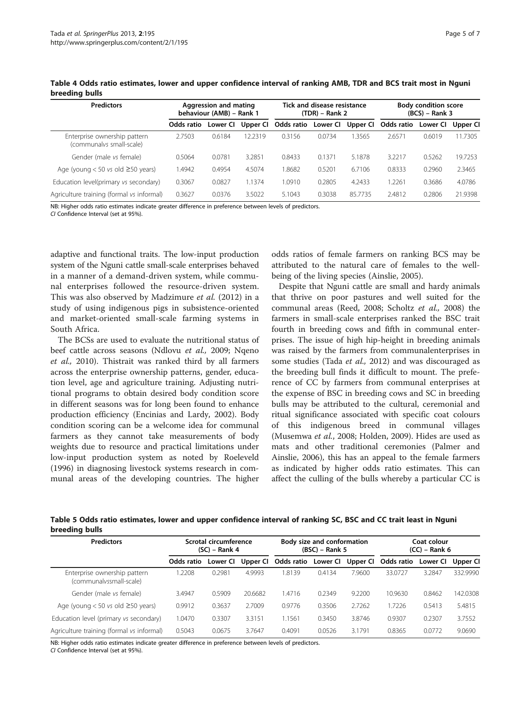<span id="page-4-0"></span>

|                |  | Table 4 Odds ratio estimates, lower and upper confidence interval of ranking AMB, TDR and BCS trait most in Nguni |  |  |
|----------------|--|-------------------------------------------------------------------------------------------------------------------|--|--|
| breeding bulls |  |                                                                                                                   |  |  |

| <b>Predictors</b>                                        | Aggression and mating<br>behaviour (AMB) - Rank 1 |          |          | Tick and disease resistance<br>(TDR) – Rank 2 |          |          | <b>Body condition score</b><br>$(BCS) - Rank 3$ |          |          |
|----------------------------------------------------------|---------------------------------------------------|----------|----------|-----------------------------------------------|----------|----------|-------------------------------------------------|----------|----------|
|                                                          | Odds ratio                                        | Lower Cl | Upper Cl | Odds ratio                                    | Lower Cl | Upper Cl | Odds ratio                                      | Lower CI | Upper Cl |
| Enterprise ownership pattern<br>(communalys small-scale) | 2.7503                                            | 0.6184   | 12.2319  | 0.3156                                        | 0.0734   | 1.3565   | 2.6571                                          | 0.6019   | 11.7305  |
| Gender (male vs female)                                  | 0.5064                                            | 0.0781   | 3.2851   | 0.8433                                        | 0.1371   | 5.1878   | 3.2217                                          | 0.5262   | 19.7253  |
| Age (young $<$ 50 vs old $\geq$ 50 years)                | .4942                                             | 0.4954   | 4.5074   | 8682                                          | 0.5201   | 6.7106   | 0.8333                                          | 0.2960   | 2.3465   |
| Education level(primary vs secondary)                    | 0.3067                                            | 0.0827   | 1.1374   | 1.0910                                        | 0.2805   | 4.2433   | 1.2261                                          | 0.3686   | 4.0786   |
| Agriculture training (formal vs informal)                | 0.3627                                            | 0.0376   | 3.5022   | 5.1043                                        | 0.3038   | 85.7735  | 2.4812                                          | 0.2806   | 21.9398  |

NB: Higher odds ratio estimates indicate greater difference in preference between levels of predictors. CI Confidence Interval (set at 95%).

adaptive and functional traits. The low-input production system of the Nguni cattle small-scale enterprises behaved in a manner of a demand-driven system, while communal enterprises followed the resource-driven system. This was also observed by Madzimure et al. [\(2012](#page-6-0)) in a study of using indigenous pigs in subsistence-oriented and market-oriented small-scale farming systems in South Africa.

The BCSs are used to evaluate the nutritional status of beef cattle across seasons (Ndlovu et al., [2009](#page-6-0); Nqeno et al., [2010](#page-6-0)). Thistrait was ranked third by all farmers across the enterprise ownership patterns, gender, education level, age and agriculture training. Adjusting nutritional programs to obtain desired body condition score in different seasons was for long been found to enhance production efficiency (Encinias and Lardy, [2002](#page-6-0)). Body condition scoring can be a welcome idea for communal farmers as they cannot take measurements of body weights due to resource and practical limitations under low-input production system as noted by Roeleveld ([1996](#page-6-0)) in diagnosing livestock systems research in communal areas of the developing countries. The higher

odds ratios of female farmers on ranking BCS may be attributed to the natural care of females to the wellbeing of the living species (Ainslie, [2005\)](#page-6-0).

Despite that Nguni cattle are small and hardy animals that thrive on poor pastures and well suited for the communal areas (Reed, [2008;](#page-6-0) Scholtz et al., [2008\)](#page-6-0) the farmers in small-scale enterprises ranked the BSC trait fourth in breeding cows and fifth in communal enterprises. The issue of high hip-height in breeding animals was raised by the farmers from communalenterprises in some studies (Tada et al., [2012](#page-6-0)) and was discouraged as the breeding bull finds it difficult to mount. The preference of CC by farmers from communal enterprises at the expense of BSC in breeding cows and SC in breeding bulls may be attributed to the cultural, ceremonial and ritual significance associated with specific coat colours of this indigenous breed in communal villages (Musemwa et al., [2008](#page-6-0); Holden, [2009](#page-6-0)). Hides are used as mats and other traditional ceremonies (Palmer and Ainslie, [2006\)](#page-6-0), this has an appeal to the female farmers as indicated by higher odds ratio estimates. This can affect the culling of the bulls whereby a particular CC is

Table 5 Odds ratio estimates, lower and upper confidence interval of ranking SC, BSC and CC trait least in Nguni breeding bulls

| <b>Predictors</b>                                       | Scrotal circumference<br>$(SC)$ – Rank 4 |          |          | Body size and conformation<br>$(BSC)$ – Rank 5 |          |          | Coat colour<br>$(CC)$ – Rank 6 |          |          |
|---------------------------------------------------------|------------------------------------------|----------|----------|------------------------------------------------|----------|----------|--------------------------------|----------|----------|
|                                                         | Odds ratio                               | Lower Cl | Upper Cl | Odds ratio                                     | Lower CI | Upper Cl | Odds ratio                     | Lower CI | Upper Cl |
| Enterprise ownership pattern<br>(communalyssmall-scale) | .2208                                    | 0.2981   | 4.9993   | 1.8139                                         | 0.4134   | 7.9600   | 33.0727                        | 3.2847   | 332.9990 |
| Gender (male vs female)                                 | 3.4947                                   | 0.5909   | 20.6682  | 1.4716                                         | 0.2349   | 9.2200   | 10.9630                        | 0.8462   | 142.0308 |
| Age (young $< 50$ vs old $\geq 50$ years)               | 0.9912                                   | 0.3637   | 2.7009   | 0.9776                                         | 0.3506   | 2.7262   | 1.7226                         | 0.5413   | 5.4815   |
| Education level (primary vs secondary)                  | 0470                                     | 0.3307   | 3.3151   | 1.1561                                         | 0.3450   | 3.8746   | 0.9307                         | 0.2307   | 3.7552   |
| Agriculture training (formal vs informal)               | 0.5043                                   | 0.0675   | 3.7647   | 0.4091                                         | 0.0526   | 3.1791   | 0.8365                         | 0.0772   | 9.0690   |

NB: Higher odds ratio estimates indicate greater difference in preference between levels of predictors.

CI Confidence Interval (set at 95%).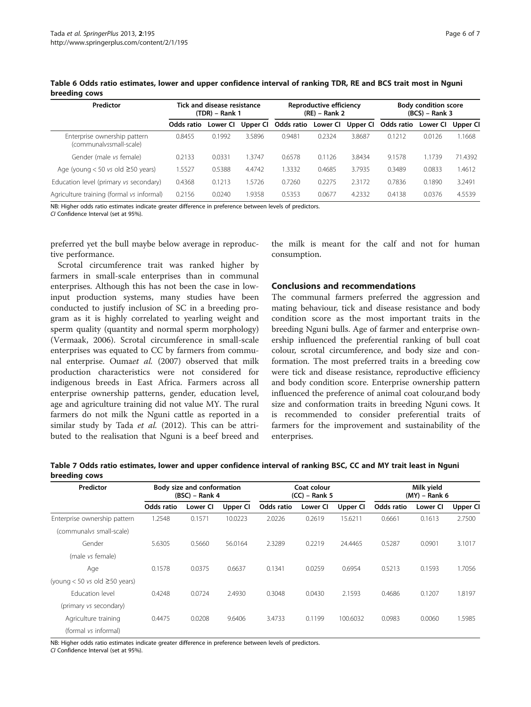<span id="page-5-0"></span>

| Table 6 Odds ratio estimates, lower and upper confidence interval of ranking TDR, RE and BCS trait most in Nguni |  |  |
|------------------------------------------------------------------------------------------------------------------|--|--|
| breeding cows                                                                                                    |  |  |

| Predictor                                               | Tick and disease resistance<br>$(TDR)$ – Rank 1 |          |          | Reproductive efficiency<br>$(RE)$ – Rank 2 |          |          | <b>Body condition score</b><br>$(BCS) - Rank 3$ |          |          |
|---------------------------------------------------------|-------------------------------------------------|----------|----------|--------------------------------------------|----------|----------|-------------------------------------------------|----------|----------|
|                                                         | Odds ratio                                      | Lower CI | Upper Cl | Odds ratio                                 | Lower CI | Upper CI | Odds ratio                                      | Lower CI | Upper Cl |
| Enterprise ownership pattern<br>(communalyssmall-scale) | 0.8455                                          | 0.1992   | 3.5896   | 0.9481                                     | 0.2324   | 3.8687   | 0.1212                                          | 0.0126   | 1.1668   |
| Gender (male vs female)                                 | 0.2133                                          | 0.0331   | 1.3747   | 0.6578                                     | 0.1126   | 3.8434   | 9.1578                                          | 1.1739   | 71.4392  |
| Age (young $<$ 50 vs old $\geq$ 50 years)               | 1.5527                                          | 0.5388   | 4.4742   | .3332                                      | 0.4685   | 3.7935   | 0.3489                                          | 0.0833   | 1.4612   |
| Education level (primary vs secondary)                  | 0.4368                                          | 0.1213   | 1.5726   | 0.7260                                     | 0.2275   | 2.3172   | 0.7836                                          | 0.1890   | 3.2491   |
| Agriculture training (formal vs informal)               | 0.2156                                          | 0.0240   | 1.9358   | 0.5353                                     | 0.0677   | 4.2332   | 0.4138                                          | 0.0376   | 4.5539   |

NB: Higher odds ratio estimates indicate greater difference in preference between levels of predictors.

CI Confidence Interval (set at 95%).

preferred yet the bull maybe below average in reproductive performance.

Scrotal circumference trait was ranked higher by farmers in small-scale enterprises than in communal enterprises. Although this has not been the case in lowinput production systems, many studies have been conducted to justify inclusion of SC in a breeding program as it is highly correlated to yearling weight and sperm quality (quantity and normal sperm morphology) (Vermaak, [2006](#page-6-0)). Scrotal circumference in small-scale enterprises was equated to CC by farmers from communal enterprise. Oumaet al. [\(2007\)](#page-6-0) observed that milk production characteristics were not considered for indigenous breeds in East Africa. Farmers across all enterprise ownership patterns, gender, education level, age and agriculture training did not value MY. The rural farmers do not milk the Nguni cattle as reported in a similar study by Tada et al. [\(2012\)](#page-6-0). This can be attributed to the realisation that Nguni is a beef breed and

the milk is meant for the calf and not for human consumption.

# Conclusions and recommendations

The communal farmers preferred the aggression and mating behaviour, tick and disease resistance and body condition score as the most important traits in the breeding Nguni bulls. Age of farmer and enterprise ownership influenced the preferential ranking of bull coat colour, scrotal circumference, and body size and conformation. The most preferred traits in a breeding cow were tick and disease resistance, reproductive efficiency and body condition score. Enterprise ownership pattern influenced the preference of animal coat colour,and body size and conformation traits in breeding Nguni cows. It is recommended to consider preferential traits of farmers for the improvement and sustainability of the enterprises.

| Table 7 Odds ratio estimates, lower and upper confidence interval of ranking BSC, CC and MY trait least in Nguni |  |  |
|------------------------------------------------------------------------------------------------------------------|--|--|
| breeding cows                                                                                                    |  |  |

| Predictor                                                                                               |            | Body size and conformation<br>$(BSC)$ – Rank 4 |          | Coat colour<br>$(CC)$ – Rank 5 |          |          | Milk yield<br>$(MY)$ – Rank 6 |          |          |
|---------------------------------------------------------------------------------------------------------|------------|------------------------------------------------|----------|--------------------------------|----------|----------|-------------------------------|----------|----------|
|                                                                                                         | Odds ratio | Lower CI                                       | Upper CI | Odds ratio                     | Lower CI | Upper CI | Odds ratio                    | Lower CI | Upper CI |
| Enterprise ownership pattern                                                                            | 1.2548     | 0.1571                                         | 10.0223  | 2.0226                         | 0.2619   | 15.6211  | 0.6661                        | 0.1613   | 2.7500   |
| (communalys small-scale)                                                                                |            |                                                |          |                                |          |          |                               |          |          |
| Gender                                                                                                  | 5.6305     | 0.5660                                         | 56.0164  | 2.3289                         | 0.2219   | 24.4465  | 0.5287                        | 0.0901   | 3.1017   |
| (male vs female)                                                                                        |            |                                                |          |                                |          |          |                               |          |          |
| Age                                                                                                     | 0.1578     | 0.0375                                         | 0.6637   | 0.1341                         | 0.0259   | 0.6954   | 0.5213                        | 0.1593   | 1.7056   |
| (young $< 50$ vs old $\geq 50$ years)                                                                   |            |                                                |          |                                |          |          |                               |          |          |
| Education level                                                                                         | 0.4248     | 0.0724                                         | 2.4930   | 0.3048                         | 0.0430   | 2.1593   | 0.4686                        | 0.1207   | 1.8197   |
| (primary vs secondary)                                                                                  |            |                                                |          |                                |          |          |                               |          |          |
| Agriculture training                                                                                    | 0.4475     | 0.0208                                         | 9.6406   | 3.4733                         | 0.1199   | 100.6032 | 0.0983                        | 0.0060   | 1.5985   |
| (formal vs informal)                                                                                    |            |                                                |          |                                |          |          |                               |          |          |
| NB: Higher odds ratio estimates indicate greater difference in preference between levels of predictors. |            |                                                |          |                                |          |          |                               |          |          |

CI Confidence Interval (set at 95%).